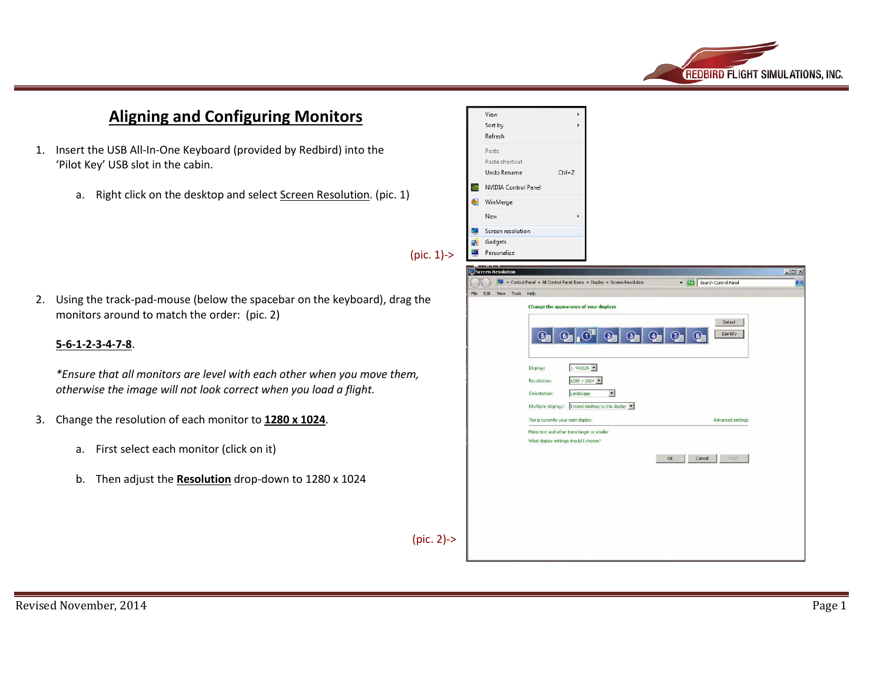

## **Aligning and Configuring Monitors**

- 1. Insert the USB All-In-One Keyboard (provided by Redbird) into the 'Pilot Key' USB slot in the cabin.
	- a. Right click on the desktop and select Screen Resolution. (pic. 1)

2. Using the track-pad-mouse (below the spacebar on the keyboard), drag the monitors around to match the order: (pic. 2)

## **5-6-1-2-3-4-7-8**.

*\*Ensure that all monitors are level with each other when you move them, otherwise the image will not look correct when you load a flight.*

- 3. Change the resolution of each monitor to **1280 x 1024**.
	- a. First select each monitor (click on it)
	- b. Then adjust the **Resolution** drop-down to 1280 x 1024